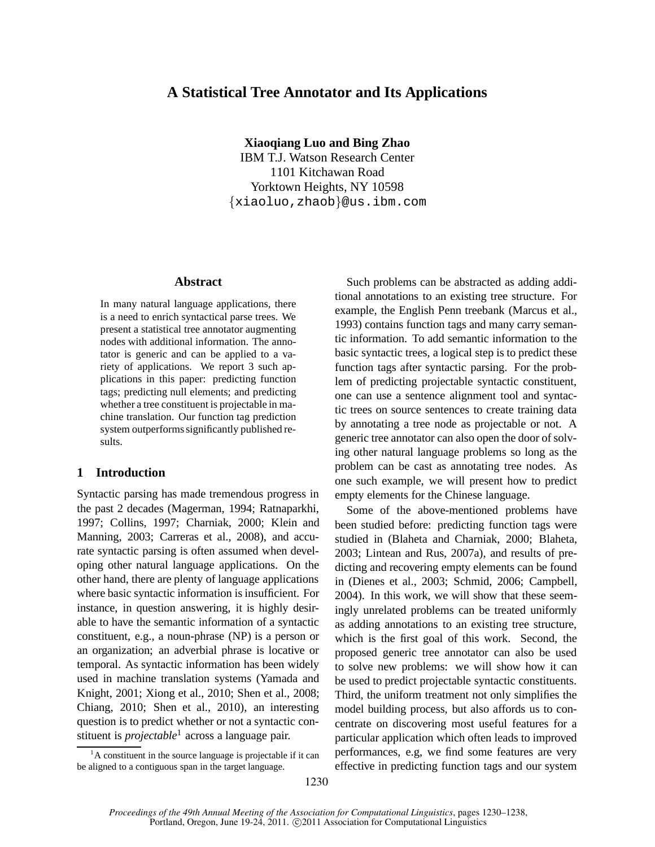# **A Statistical Tree Annotator and Its Applications**

**Xiaoqiang Luo and Bing Zhao**

IBM T.J. Watson Research Center 1101 Kitchawan Road Yorktown Heights, NY 10598 {xiaoluo,zhaob}@us.ibm.com

# **Abstract**

In many natural language applications, there is a need to enrich syntactical parse trees. We present a statistical tree annotator augmenting nodes with additional information. The annotator is generic and can be applied to a variety of applications. We report 3 such applications in this paper: predicting function tags; predicting null elements; and predicting whether a tree constituent is projectable in machine translation. Our function tag prediction system outperforms significantly published results.

# **1 Introduction**

Syntactic parsing has made tremendous progress in the past 2 decades (Magerman, 1994; Ratnaparkhi, 1997; Collins, 1997; Charniak, 2000; Klein and Manning, 2003; Carreras et al., 2008), and accurate syntactic parsing is often assumed when developing other natural language applications. On the other hand, there are plenty of language applications where basic syntactic information is insufficient. For instance, in question answering, it is highly desirable to have the semantic information of a syntactic constituent, e.g., a noun-phrase (NP) is a person or an organization; an adverbial phrase is locative or temporal. As syntactic information has been widely used in machine translation systems (Yamada and Knight, 2001; Xiong et al., 2010; Shen et al., 2008; Chiang, 2010; Shen et al., 2010), an interesting question is to predict whether or not a syntactic constituent is *projectable*<sup>1</sup> across a language pair.

Such problems can be abstracted as adding additional annotations to an existing tree structure. For example, the English Penn treebank (Marcus et al., 1993) contains function tags and many carry semantic information. To add semantic information to the basic syntactic trees, a logical step is to predict these function tags after syntactic parsing. For the problem of predicting projectable syntactic constituent, one can use a sentence alignment tool and syntactic trees on source sentences to create training data by annotating a tree node as projectable or not. A generic tree annotator can also open the door of solving other natural language problems so long as the problem can be cast as annotating tree nodes. As one such example, we will present how to predict empty elements for the Chinese language.

Some of the above-mentioned problems have been studied before: predicting function tags were studied in (Blaheta and Charniak, 2000; Blaheta, 2003; Lintean and Rus, 2007a), and results of predicting and recovering empty elements can be found in (Dienes et al., 2003; Schmid, 2006; Campbell, 2004). In this work, we will show that these seemingly unrelated problems can be treated uniformly as adding annotations to an existing tree structure, which is the first goal of this work. Second, the proposed generic tree annotator can also be used to solve new problems: we will show how it can be used to predict projectable syntactic constituents. Third, the uniform treatment not only simplifies the model building process, but also affords us to concentrate on discovering most useful features for a particular application which often leads to improved performances, e.g, we find some features are very effective in predicting function tags and our system

 $<sup>1</sup>A$  constituent in the source language is projectable if it can</sup> be aligned to a contiguous span in the target language.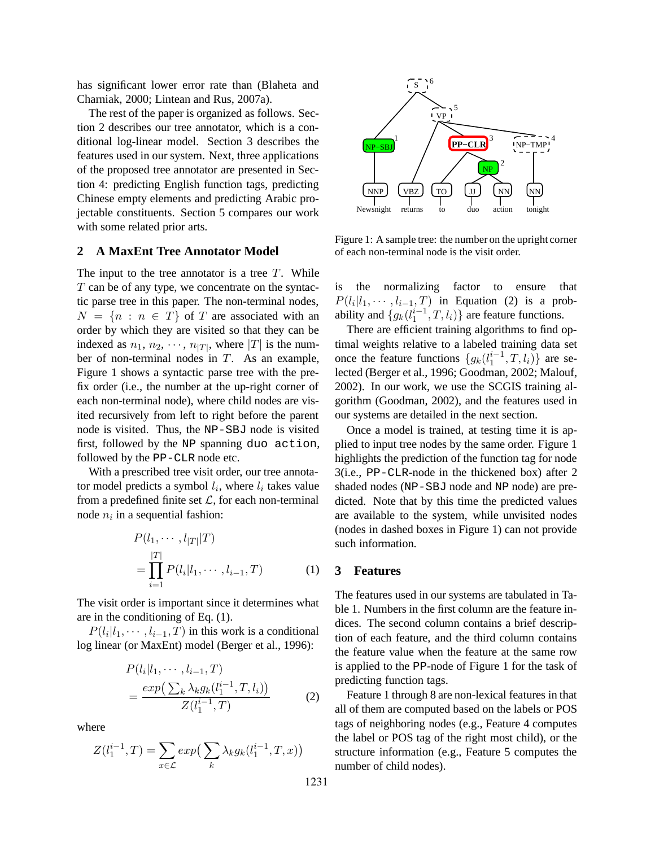has significant lower error rate than (Blaheta and Charniak, 2000; Lintean and Rus, 2007a).

The rest of the paper is organized as follows. Section 2 describes our tree annotator, which is a conditional log-linear model. Section 3 describes the features used in our system. Next, three applications of the proposed tree annotator are presented in Section 4: predicting English function tags, predicting Chinese empty elements and predicting Arabic projectable constituents. Section 5 compares our work with some related prior arts.

#### **2 A MaxEnt Tree Annotator Model**

The input to the tree annotator is a tree  $T$ . While  $T$  can be of any type, we concentrate on the syntactic parse tree in this paper. The non-terminal nodes,  $N = \{n : n \in T\}$  of T are associated with an order by which they are visited so that they can be indexed as  $n_1, n_2, \dots, n_{|T|}$ , where  $|T|$  is the number of non-terminal nodes in  $T$ . As an example, Figure 1 shows a syntactic parse tree with the prefix order (i.e., the number at the up-right corner of each non-terminal node), where child nodes are visited recursively from left to right before the parent node is visited. Thus, the NP-SBJ node is visited first, followed by the NP spanning duo action, followed by the PP-CLR node etc.

With a prescribed tree visit order, our tree annotator model predicts a symbol  $l_i$ , where  $l_i$  takes value from a predefined finite set  $\mathcal{L}$ , for each non-terminal node  $n_i$  in a sequential fashion:

$$
P(l_1, \cdots, l_{|T|}|T)
$$
  
= 
$$
\prod_{i=1}^{|T|} P(l_i|l_1, \cdots, l_{i-1}, T)
$$
 (1)

The visit order is important since it determines what are in the conditioning of Eq. (1).

 $P(l_i | l_1, \cdots, l_{i-1}, T)$  in this work is a conditional log linear (or MaxEnt) model (Berger et al., 1996):

$$
P(l_i|l_1, \cdots, l_{i-1}, T)
$$
  
= 
$$
\frac{exp(\sum_k \lambda_k g_k(l_1^{i-1}, T, l_i))}{Z(l_1^{i-1}, T)}
$$
 (2)

where

$$
Z(l_1^{i-1}, T) = \sum_{x \in \mathcal{L}} exp\left(\sum_k \lambda_k g_k(l_1^{i-1}, T, x)\right)
$$



Figure 1: A sample tree: the number on the upright corner of each non-terminal node is the visit order.

is the normalizing factor to ensure that  $P(l_i|l_1,\dots, l_{i-1}, T)$  in Equation (2) is a probability and  $\{g_k(l_1^{i-1}, T, l_i)\}\$  are feature functions.

There are efficient training algorithms to find optimal weights relative to a labeled training data set once the feature functions  $\{g_k(l_1^{i-1}, T, l_i)\}\$  are selected (Berger et al., 1996; Goodman, 2002; Malouf, 2002). In our work, we use the SCGIS training algorithm (Goodman, 2002), and the features used in our systems are detailed in the next section.

Once a model is trained, at testing time it is applied to input tree nodes by the same order. Figure 1 highlights the prediction of the function tag for node 3(i.e., PP-CLR-node in the thickened box) after 2 shaded nodes (NP-SBJ node and NP node) are predicted. Note that by this time the predicted values are available to the system, while unvisited nodes (nodes in dashed boxes in Figure 1) can not provide such information.

#### **3 Features**

The features used in our systems are tabulated in Table 1. Numbers in the first column are the feature indices. The second column contains a brief description of each feature, and the third column contains the feature value when the feature at the same row is applied to the PP-node of Figure 1 for the task of predicting function tags.

Feature 1 through 8 are non-lexical features in that all of them are computed based on the labels or POS tags of neighboring nodes (e.g., Feature 4 computes the label or POS tag of the right most child), or the structure information (e.g., Feature 5 computes the number of child nodes).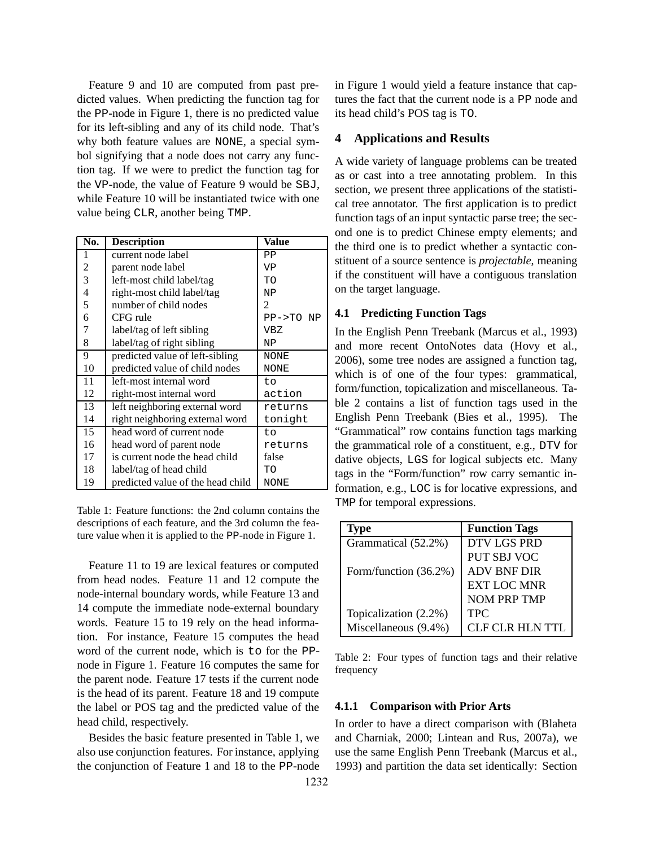Feature 9 and 10 are computed from past predicted values. When predicting the function tag for the PP-node in Figure 1, there is no predicted value for its left-sibling and any of its child node. That's why both feature values are NONE, a special symbol signifying that a node does not carry any function tag. If we were to predict the function tag for the VP-node, the value of Feature 9 would be SBJ, while Feature 10 will be instantiated twice with one value being CLR, another being TMP.

| No. | <b>Description</b>                | Value       |  |
|-----|-----------------------------------|-------------|--|
| 1   | current node label                | PP          |  |
| 2   | parent node label                 | VP          |  |
| 3   | left-most child label/tag         | TО          |  |
| 4   | right-most child label/tag        | NP          |  |
| 5   | number of child nodes             | 2           |  |
| 6   | CFG rule                          | PP->TO NP   |  |
| 7   | label/tag of left sibling         | <b>VBZ</b>  |  |
| 8   | label/tag of right sibling        | NP          |  |
| 9   | predicted value of left-sibling   | NONE        |  |
| 10  | predicted value of child nodes    | <b>NONE</b> |  |
| 11  | left-most internal word           | tο          |  |
| 12  | right-most internal word          | action      |  |
| 13  | left neighboring external word    | returns     |  |
| 14  | right neighboring external word   | tonight     |  |
| 15  | head word of current node         | to          |  |
| 16  | head word of parent node          | returns     |  |
| 17  | is current node the head child    | false       |  |
| 18  | label/tag of head child           | TΟ          |  |
| 19  | predicted value of the head child | NONE        |  |

Table 1: Feature functions: the 2nd column contains the descriptions of each feature, and the 3rd column the feature value when it is applied to the PP-node in Figure 1.

Feature 11 to 19 are lexical features or computed from head nodes. Feature 11 and 12 compute the node-internal boundary words, while Feature 13 and 14 compute the immediate node-external boundary words. Feature 15 to 19 rely on the head information. For instance, Feature 15 computes the head word of the current node, which is to for the PPnode in Figure 1. Feature 16 computes the same for the parent node. Feature 17 tests if the current node is the head of its parent. Feature 18 and 19 compute the label or POS tag and the predicted value of the head child, respectively.

Besides the basic feature presented in Table 1, we also use conjunction features. For instance, applying the conjunction of Feature 1 and 18 to the PP-node

1232

in Figure 1 would yield a feature instance that captures the fact that the current node is a PP node and its head child's POS tag is TO.

## **4 Applications and Results**

A wide variety of language problems can be treated as or cast into a tree annotating problem. In this section, we present three applications of the statistical tree annotator. The first application is to predict function tags of an input syntactic parse tree; the second one is to predict Chinese empty elements; and the third one is to predict whether a syntactic constituent of a source sentence is *projectable*, meaning if the constituent will have a contiguous translation on the target language.

### **4.1 Predicting Function Tags**

In the English Penn Treebank (Marcus et al., 1993) and more recent OntoNotes data (Hovy et al., 2006), some tree nodes are assigned a function tag, which is of one of the four types: grammatical, form/function, topicalization and miscellaneous. Table 2 contains a list of function tags used in the English Penn Treebank (Bies et al., 1995). The "Grammatical" row contains function tags marking the grammatical role of a constituent, e.g., DTV for dative objects, LGS for logical subjects etc. Many tags in the "Form/function" row carry semantic information, e.g., LOC is for locative expressions, and TMP for temporal expressions.

| lype                  | <b>Function Tags</b>   |
|-----------------------|------------------------|
| Grammatical (52.2%)   | <b>DTV LGS PRD</b>     |
|                       | <b>PUT SBJ VOC</b>     |
| Form/function (36.2%) | <b>ADV BNF DIR</b>     |
|                       | <b>EXT LOC MNR</b>     |
|                       | <b>NOM PRP TMP</b>     |
| Topicalization (2.2%) | <b>TPC</b>             |
| Miscellaneous (9.4%)  | <b>CLF CLR HLN TTL</b> |

Table 2: Four types of function tags and their relative frequency

#### **4.1.1 Comparison with Prior Arts**

In order to have a direct comparison with (Blaheta and Charniak, 2000; Lintean and Rus, 2007a), we use the same English Penn Treebank (Marcus et al., 1993) and partition the data set identically: Section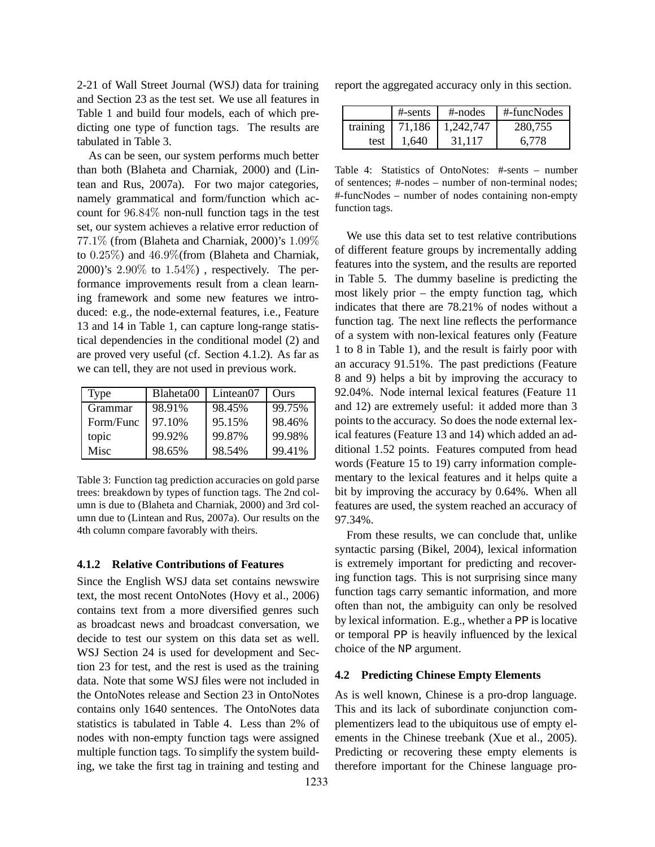2-21 of Wall Street Journal (WSJ) data for training and Section 23 as the test set. We use all features in Table 1 and build four models, each of which predicting one type of function tags. The results are tabulated in Table 3.

As can be seen, our system performs much better than both (Blaheta and Charniak, 2000) and (Lintean and Rus, 2007a). For two major categories, namely grammatical and form/function which account for 96.84% non-null function tags in the test set, our system achieves a relative error reduction of 77.1% (from (Blaheta and Charniak, 2000)'s 1.09% to 0.25%) and 46.9%(from (Blaheta and Charniak, 2000)'s  $2.90\%$  to  $1.54\%$ ), respectively. The performance improvements result from a clean learning framework and some new features we introduced: e.g., the node-external features, i.e., Feature 13 and 14 in Table 1, can capture long-range statistical dependencies in the conditional model (2) and are proved very useful (cf. Section 4.1.2). As far as we can tell, they are not used in previous work.

| Type      | Blaheta00 | Lintean07 | <b>Ours</b> |
|-----------|-----------|-----------|-------------|
| Grammar   | 98.91%    | 98.45%    | 99.75%      |
| Form/Func | 97.10%    | 95.15%    | 98.46%      |
| topic     | 99.92%    | 99.87%    | 99.98%      |
| Misc      | 98.65%    | 98.54%    | 99.41%      |

Table 3: Function tag prediction accuracies on gold parse trees: breakdown by types of function tags. The 2nd column is due to (Blaheta and Charniak, 2000) and 3rd column due to (Lintean and Rus, 2007a). Our results on the 4th column compare favorably with theirs.

### **4.1.2 Relative Contributions of Features**

Since the English WSJ data set contains newswire text, the most recent OntoNotes (Hovy et al., 2006) contains text from a more diversified genres such as broadcast news and broadcast conversation, we decide to test our system on this data set as well. WSJ Section 24 is used for development and Section 23 for test, and the rest is used as the training data. Note that some WSJ files were not included in the OntoNotes release and Section 23 in OntoNotes contains only 1640 sentences. The OntoNotes data statistics is tabulated in Table 4. Less than 2% of nodes with non-empty function tags were assigned multiple function tags. To simplify the system building, we take the first tag in training and testing and

report the aggregated accuracy only in this section.

|          | $#-sents$ | $#-nodes$ | #-funcNodes |
|----------|-----------|-----------|-------------|
| training | 71,186    | 1,242,747 | 280.755     |
| test     | 1.640     | 31.117    | 6.778       |

Table 4: Statistics of OntoNotes: #-sents – number of sentences; #-nodes – number of non-terminal nodes; #-funcNodes – number of nodes containing non-empty function tags.

We use this data set to test relative contributions of different feature groups by incrementally adding features into the system, and the results are reported in Table 5. The dummy baseline is predicting the most likely prior – the empty function tag, which indicates that there are 78.21% of nodes without a function tag. The next line reflects the performance of a system with non-lexical features only (Feature 1 to 8 in Table 1), and the result is fairly poor with an accuracy 91.51%. The past predictions (Feature 8 and 9) helps a bit by improving the accuracy to 92.04%. Node internal lexical features (Feature 11 and 12) are extremely useful: it added more than 3 points to the accuracy. So does the node external lexical features (Feature 13 and 14) which added an additional 1.52 points. Features computed from head words (Feature 15 to 19) carry information complementary to the lexical features and it helps quite a bit by improving the accuracy by 0.64%. When all features are used, the system reached an accuracy of 97.34%.

From these results, we can conclude that, unlike syntactic parsing (Bikel, 2004), lexical information is extremely important for predicting and recovering function tags. This is not surprising since many function tags carry semantic information, and more often than not, the ambiguity can only be resolved by lexical information. E.g., whether a PP is locative or temporal PP is heavily influenced by the lexical choice of the NP argument.

## **4.2 Predicting Chinese Empty Elements**

As is well known, Chinese is a pro-drop language. This and its lack of subordinate conjunction complementizers lead to the ubiquitous use of empty elements in the Chinese treebank (Xue et al., 2005). Predicting or recovering these empty elements is therefore important for the Chinese language pro-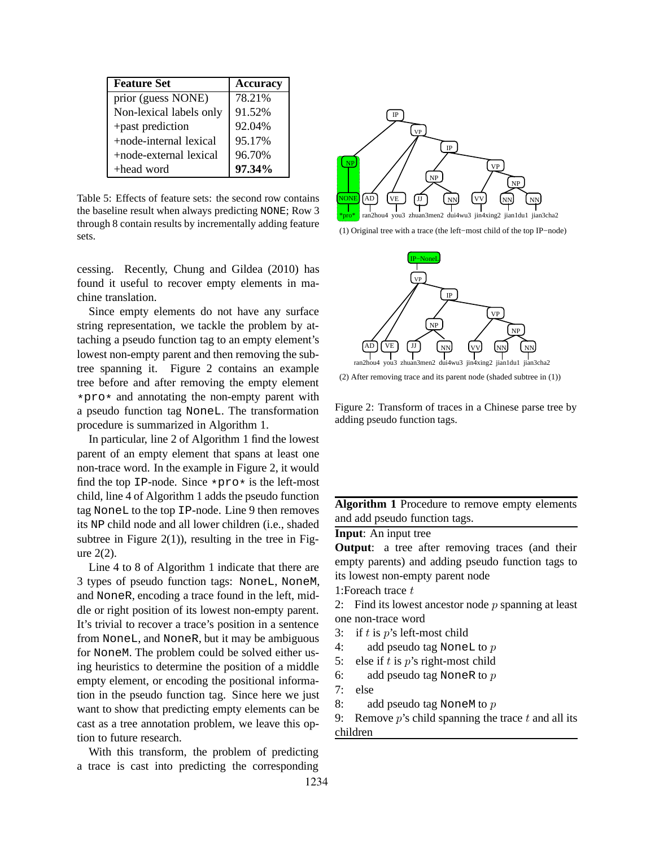| <b>Feature Set</b>      | <b>Accuracy</b> |
|-------------------------|-----------------|
| prior (guess NONE)      | 78.21%          |
| Non-lexical labels only | 91.52%          |
| +past prediction        | 92.04%          |
| +node-internal lexical  | 95.17%          |
| +node-external lexical  | 96.70%          |
| +head word              | 97.34%          |

Table 5: Effects of feature sets: the second row contains the baseline result when always predicting NONE; Row 3 through 8 contain results by incrementally adding feature sets.

cessing. Recently, Chung and Gildea (2010) has found it useful to recover empty elements in machine translation.

Since empty elements do not have any surface string representation, we tackle the problem by attaching a pseudo function tag to an empty element's lowest non-empty parent and then removing the subtree spanning it. Figure 2 contains an example tree before and after removing the empty element \*pro\* and annotating the non-empty parent with a pseudo function tag NoneL. The transformation procedure is summarized in Algorithm 1.

In particular, line 2 of Algorithm 1 find the lowest parent of an empty element that spans at least one non-trace word. In the example in Figure 2, it would find the top IP-node. Since  $*prox$  is the left-most child, line 4 of Algorithm 1 adds the pseudo function tag NoneL to the top IP-node. Line 9 then removes its NP child node and all lower children (i.e., shaded subtree in Figure  $2(1)$ , resulting in the tree in Figure 2(2).

Line 4 to 8 of Algorithm 1 indicate that there are 3 types of pseudo function tags: NoneL, NoneM, and NoneR, encoding a trace found in the left, middle or right position of its lowest non-empty parent. It's trivial to recover a trace's position in a sentence from NoneL, and NoneR, but it may be ambiguous for NoneM. The problem could be solved either using heuristics to determine the position of a middle empty element, or encoding the positional information in the pseudo function tag. Since here we just want to show that predicting empty elements can be cast as a tree annotation problem, we leave this option to future research.

With this transform, the problem of predicting a trace is cast into predicting the corresponding



(1) Original tree with a trace (the left−most child of the top IP−node)



(2) After removing trace and its parent node (shaded subtree in (1))

Figure 2: Transform of traces in a Chinese parse tree by adding pseudo function tags.

**Algorithm 1** Procedure to remove empty elements and add pseudo function tags.

#### **Input**: An input tree

**Output:** a tree after removing traces (and their empty parents) and adding pseudo function tags to its lowest non-empty parent node

1: For each trace  $t$ 

2: Find its lowest ancestor node  $p$  spanning at least one non-trace word

- 3: if  $t$  is  $p$ 's left-most child
- 4: add pseudo tag NoneL to p
- 5: else if  $t$  is  $p$ 's right-most child
- 6: add pseudo tag NoneR to  $p$
- 7: else
- 8: add pseudo tag NoneM to  $p$

9: Remove  $p$ 's child spanning the trace  $t$  and all its children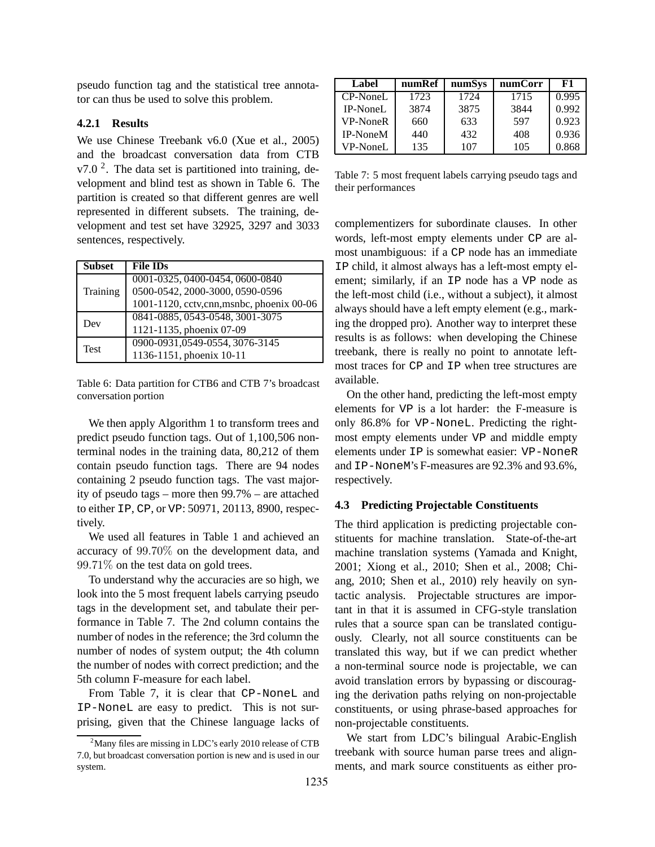pseudo function tag and the statistical tree annotator can thus be used to solve this problem.

# **4.2.1 Results**

We use Chinese Treebank v6.0 (Xue et al., 2005) and the broadcast conversation data from CTB  $v7.0<sup>2</sup>$ . The data set is partitioned into training, development and blind test as shown in Table 6. The partition is created so that different genres are well represented in different subsets. The training, development and test set have 32925, 3297 and 3033 sentences, respectively.

| <b>Subset</b> | <b>File IDs</b>                          |
|---------------|------------------------------------------|
|               | 0001-0325, 0400-0454, 0600-0840          |
| Training      | 0500-0542, 2000-3000, 0590-0596          |
|               | 1001-1120, cctv,cnn,msnbc, phoenix 00-06 |
| Dev           | 0841-0885, 0543-0548, 3001-3075          |
|               | 1121-1135, phoenix 07-09                 |
| <b>Test</b>   | 0900-0931,0549-0554, 3076-3145           |
|               | 1136-1151, phoenix 10-11                 |

Table 6: Data partition for CTB6 and CTB 7's broadcast conversation portion

We then apply Algorithm 1 to transform trees and predict pseudo function tags. Out of 1,100,506 nonterminal nodes in the training data, 80,212 of them contain pseudo function tags. There are 94 nodes containing 2 pseudo function tags. The vast majority of pseudo tags – more then 99.7% – are attached to either IP, CP, or VP: 50971, 20113, 8900, respectively.

We used all features in Table 1 and achieved an accuracy of 99.70% on the development data, and 99.71% on the test data on gold trees.

To understand why the accuracies are so high, we look into the 5 most frequent labels carrying pseudo tags in the development set, and tabulate their performance in Table 7. The 2nd column contains the number of nodes in the reference; the 3rd column the number of nodes of system output; the 4th column the number of nodes with correct prediction; and the 5th column F-measure for each label.

From Table 7, it is clear that CP-NoneL and IP-NoneL are easy to predict. This is not surprising, given that the Chinese language lacks of

| Label           | numRef | numSys | numCorr | F1    |
|-----------------|--------|--------|---------|-------|
| $CP$ -NoneL     | 1723   | 1724   | 1715    | 0.995 |
| <b>IP-NoneL</b> | 3874   | 3875   | 3844    | 0.992 |
| <b>VP-NoneR</b> | 660    | 633    | 597     | 0.923 |
| <b>IP-NoneM</b> | 440    | 432    | 408     | 0.936 |
| VP-NoneL        | 135    | 107    | 105     | 0.868 |

Table 7: 5 most frequent labels carrying pseudo tags and their performances

complementizers for subordinate clauses. In other words, left-most empty elements under CP are almost unambiguous: if a CP node has an immediate IP child, it almost always has a left-most empty element; similarly, if an IP node has a VP node as the left-most child (i.e., without a subject), it almost always should have a left empty element (e.g., marking the dropped pro). Another way to interpret these results is as follows: when developing the Chinese treebank, there is really no point to annotate leftmost traces for CP and IP when tree structures are available.

On the other hand, predicting the left-most empty elements for VP is a lot harder: the F-measure is only 86.8% for VP-NoneL. Predicting the rightmost empty elements under VP and middle empty elements under IP is somewhat easier: VP-NoneR and IP-NoneM's F-measures are 92.3% and 93.6%, respectively.

## **4.3 Predicting Projectable Constituents**

The third application is predicting projectable constituents for machine translation. State-of-the-art machine translation systems (Yamada and Knight, 2001; Xiong et al., 2010; Shen et al., 2008; Chiang, 2010; Shen et al., 2010) rely heavily on syntactic analysis. Projectable structures are important in that it is assumed in CFG-style translation rules that a source span can be translated contiguously. Clearly, not all source constituents can be translated this way, but if we can predict whether a non-terminal source node is projectable, we can avoid translation errors by bypassing or discouraging the derivation paths relying on non-projectable constituents, or using phrase-based approaches for non-projectable constituents.

We start from LDC's bilingual Arabic-English treebank with source human parse trees and alignments, and mark source constituents as either pro-

 $2^2$ Many files are missing in LDC's early 2010 release of CTB 7.0, but broadcast conversation portion is new and is used in our system.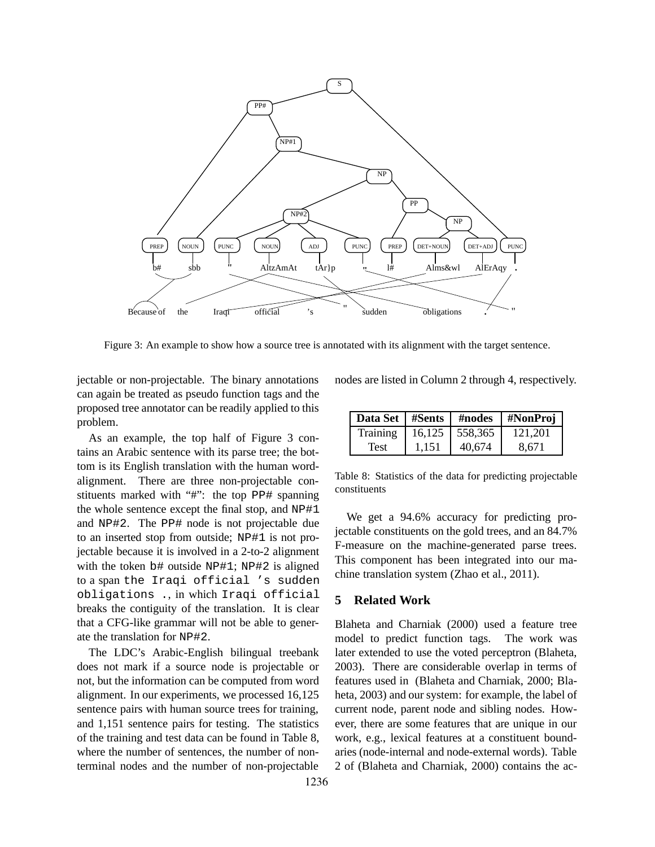

Figure 3: An example to show how a source tree is annotated with its alignment with the target sentence.

jectable or non-projectable. The binary annotations can again be treated as pseudo function tags and the proposed tree annotator can be readily applied to this problem.

As an example, the top half of Figure 3 contains an Arabic sentence with its parse tree; the bottom is its English translation with the human wordalignment. There are three non-projectable constituents marked with "#": the top PP# spanning the whole sentence except the final stop, and NP#1 and NP#2. The PP# node is not projectable due to an inserted stop from outside; NP#1 is not projectable because it is involved in a 2-to-2 alignment with the token  $b$ # outside NP#1; NP#2 is aligned to a span the Iraqi official 's sudden obligations ., in which Iraqi official breaks the contiguity of the translation. It is clear that a CFG-like grammar will not be able to generate the translation for NP#2.

The LDC's Arabic-English bilingual treebank does not mark if a source node is projectable or not, but the information can be computed from word alignment. In our experiments, we processed 16,125 sentence pairs with human source trees for training, and 1,151 sentence pairs for testing. The statistics of the training and test data can be found in Table 8, where the number of sentences, the number of nonterminal nodes and the number of non-projectable

nodes are listed in Column 2 through 4, respectively.

| Data Set   #Sents   #nodes |        |         | #NonProj |
|----------------------------|--------|---------|----------|
| Training                   | 16,125 | 558,365 | 121,201  |
| <b>Test</b>                | 1.151  | 40.674  | 8.671    |

Table 8: Statistics of the data for predicting projectable constituents

We get a 94.6% accuracy for predicting projectable constituents on the gold trees, and an 84.7% F-measure on the machine-generated parse trees. This component has been integrated into our machine translation system (Zhao et al., 2011).

# **5 Related Work**

Blaheta and Charniak (2000) used a feature tree model to predict function tags. The work was later extended to use the voted perceptron (Blaheta, 2003). There are considerable overlap in terms of features used in (Blaheta and Charniak, 2000; Blaheta, 2003) and our system: for example, the label of current node, parent node and sibling nodes. However, there are some features that are unique in our work, e.g., lexical features at a constituent boundaries (node-internal and node-external words). Table 2 of (Blaheta and Charniak, 2000) contains the ac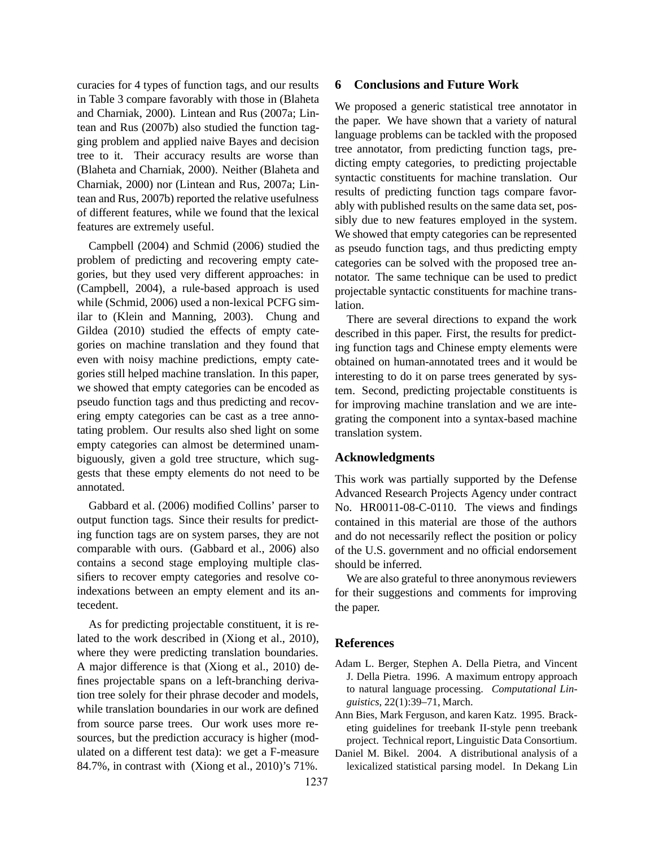curacies for 4 types of function tags, and our results in Table 3 compare favorably with those in (Blaheta and Charniak, 2000). Lintean and Rus (2007a; Lintean and Rus (2007b) also studied the function tagging problem and applied naive Bayes and decision tree to it. Their accuracy results are worse than (Blaheta and Charniak, 2000). Neither (Blaheta and Charniak, 2000) nor (Lintean and Rus, 2007a; Lintean and Rus, 2007b) reported the relative usefulness of different features, while we found that the lexical features are extremely useful.

Campbell (2004) and Schmid (2006) studied the problem of predicting and recovering empty categories, but they used very different approaches: in (Campbell, 2004), a rule-based approach is used while (Schmid, 2006) used a non-lexical PCFG similar to (Klein and Manning, 2003). Chung and Gildea (2010) studied the effects of empty categories on machine translation and they found that even with noisy machine predictions, empty categories still helped machine translation. In this paper, we showed that empty categories can be encoded as pseudo function tags and thus predicting and recovering empty categories can be cast as a tree annotating problem. Our results also shed light on some empty categories can almost be determined unambiguously, given a gold tree structure, which suggests that these empty elements do not need to be annotated.

Gabbard et al. (2006) modified Collins' parser to output function tags. Since their results for predicting function tags are on system parses, they are not comparable with ours. (Gabbard et al., 2006) also contains a second stage employing multiple classifiers to recover empty categories and resolve coindexations between an empty element and its antecedent.

As for predicting projectable constituent, it is related to the work described in (Xiong et al., 2010), where they were predicting translation boundaries. A major difference is that (Xiong et al., 2010) defines projectable spans on a left-branching derivation tree solely for their phrase decoder and models, while translation boundaries in our work are defined from source parse trees. Our work uses more resources, but the prediction accuracy is higher (modulated on a different test data): we get a F-measure 84.7%, in contrast with (Xiong et al., 2010)'s 71%.

### **6 Conclusions and Future Work**

We proposed a generic statistical tree annotator in the paper. We have shown that a variety of natural language problems can be tackled with the proposed tree annotator, from predicting function tags, predicting empty categories, to predicting projectable syntactic constituents for machine translation. Our results of predicting function tags compare favorably with published results on the same data set, possibly due to new features employed in the system. We showed that empty categories can be represented as pseudo function tags, and thus predicting empty categories can be solved with the proposed tree annotator. The same technique can be used to predict projectable syntactic constituents for machine translation.

There are several directions to expand the work described in this paper. First, the results for predicting function tags and Chinese empty elements were obtained on human-annotated trees and it would be interesting to do it on parse trees generated by system. Second, predicting projectable constituents is for improving machine translation and we are integrating the component into a syntax-based machine translation system.

# **Acknowledgments**

This work was partially supported by the Defense Advanced Research Projects Agency under contract No. HR0011-08-C-0110. The views and findings contained in this material are those of the authors and do not necessarily reflect the position or policy of the U.S. government and no official endorsement should be inferred.

We are also grateful to three anonymous reviewers for their suggestions and comments for improving the paper.

### **References**

- Adam L. Berger, Stephen A. Della Pietra, and Vincent J. Della Pietra. 1996. A maximum entropy approach to natural language processing. *Computational Linguistics*, 22(1):39–71, March.
- Ann Bies, Mark Ferguson, and karen Katz. 1995. Bracketing guidelines for treebank II-style penn treebank project. Technical report, Linguistic Data Consortium.
- Daniel M. Bikel. 2004. A distributional analysis of a lexicalized statistical parsing model. In Dekang Lin